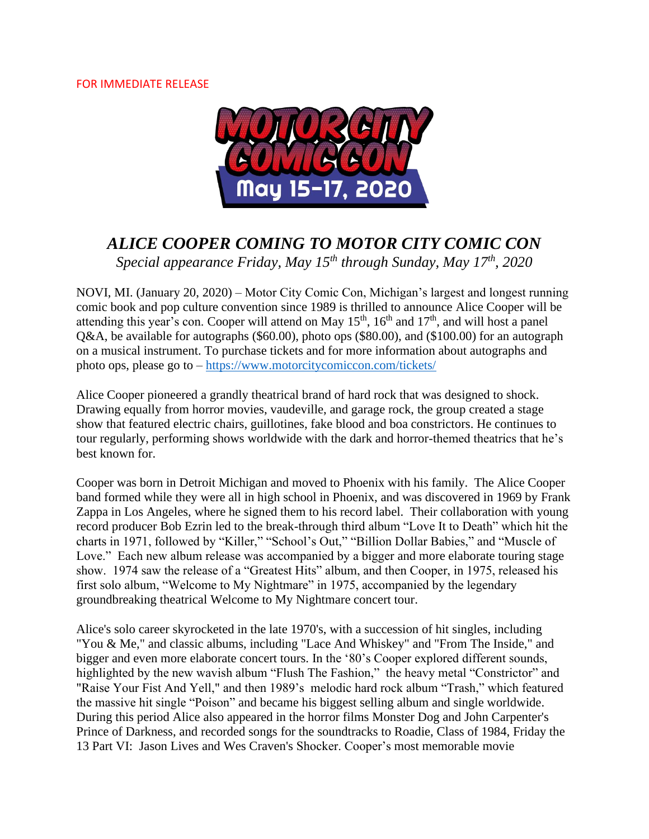### FOR IMMEDIATE RELEASE



# *ALICE COOPER COMING TO MOTOR CITY COMIC CON*

*Special appearance Friday, May 15th through Sunday, May 17th, 2020*

NOVI, MI. (January 20, 2020) – Motor City Comic Con, Michigan's largest and longest running comic book and pop culture convention since 1989 is thrilled to announce Alice Cooper will be attending this year's con. Cooper will attend on May  $15<sup>th</sup>$ ,  $16<sup>th</sup>$  and  $17<sup>th</sup>$ , and will host a panel Q&A, be available for autographs (\$60.00), photo ops (\$80.00), and (\$100.00) for an autograph on a musical instrument. To purchase tickets and for more information about autographs and photo ops, please go to – <https://www.motorcitycomiccon.com/tickets/>

Alice Cooper pioneered a grandly theatrical brand of hard rock that was designed to shock. Drawing equally from horror movies, vaudeville, and garage rock, the group created a stage show that featured electric chairs, guillotines, fake blood and boa constrictors. He continues to tour regularly, performing shows worldwide with the dark and horror-themed theatrics that he's best known for.

Cooper was born in Detroit Michigan and moved to Phoenix with his family. The Alice Cooper band formed while they were all in high school in Phoenix, and was discovered in 1969 by Frank Zappa in Los Angeles, where he signed them to his record label. Their collaboration with young record producer Bob Ezrin led to the break-through third album "Love It to Death" which hit the charts in 1971, followed by "Killer," "School's Out," "Billion Dollar Babies," and "Muscle of Love." Each new album release was accompanied by a bigger and more elaborate touring stage show. 1974 saw the release of a "Greatest Hits" album, and then Cooper, in 1975, released his first solo album, "Welcome to My Nightmare" in 1975, accompanied by the legendary groundbreaking theatrical Welcome to My Nightmare concert tour.

Alice's solo career skyrocketed in the late 1970's, with a succession of hit singles, including "You & Me," and classic albums, including "Lace And Whiskey" and "From The Inside," and bigger and even more elaborate concert tours. In the '80's Cooper explored different sounds, highlighted by the new wavish album "Flush The Fashion," the heavy metal "Constrictor" and "Raise Your Fist And Yell," and then 1989's melodic hard rock album "Trash," which featured the massive hit single "Poison" and became his biggest selling album and single worldwide. During this period Alice also appeared in the horror films Monster Dog and John Carpenter's Prince of Darkness, and recorded songs for the soundtracks to Roadie, Class of 1984, Friday the 13 Part VI: Jason Lives and Wes Craven's Shocker. Cooper's most memorable movie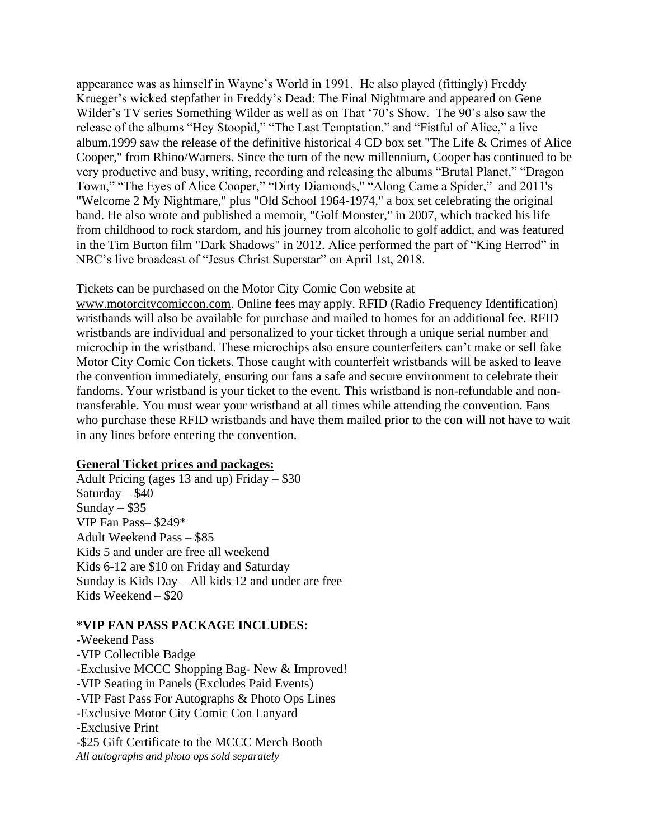appearance was as himself in Wayne's World in 1991. He also played (fittingly) Freddy Krueger's wicked stepfather in Freddy's Dead: The Final Nightmare and appeared on Gene Wilder's TV series Something Wilder as well as on That '70's Show. The 90's also saw the release of the albums "Hey Stoopid," "The Last Temptation," and "Fistful of Alice," a live album.1999 saw the release of the definitive historical 4 CD box set "The Life & Crimes of Alice Cooper," from Rhino/Warners. Since the turn of the new millennium, Cooper has continued to be very productive and busy, writing, recording and releasing the albums "Brutal Planet," "Dragon Town," "The Eyes of Alice Cooper," "Dirty Diamonds," "Along Came a Spider," and 2011's "Welcome 2 My Nightmare," plus "Old School 1964-1974," a box set celebrating the original band. He also wrote and published a memoir, "Golf Monster," in 2007, which tracked his life from childhood to rock stardom, and his journey from alcoholic to golf addict, and was featured in the Tim Burton film "Dark Shadows" in 2012. Alice performed the part of "King Herrod" in NBC's live broadcast of "Jesus Christ Superstar" on April 1st, 2018.

#### Tickets can be purchased on the Motor City Comic Con website at

[www.motorcitycomiccon.com.](http://www.motorcitycomiccon.com/) Online fees may apply. RFID (Radio Frequency Identification) wristbands will also be available for purchase and mailed to homes for an additional fee. RFID wristbands are individual and personalized to your ticket through a unique serial number and microchip in the wristband. These microchips also ensure counterfeiters can't make or sell fake Motor City Comic Con tickets. Those caught with counterfeit wristbands will be asked to leave the convention immediately, ensuring our fans a safe and secure environment to celebrate their fandoms. Your wristband is your ticket to the event. This wristband is non-refundable and nontransferable. You must wear your wristband at all times while attending the convention. Fans who purchase these RFID wristbands and have them mailed prior to the con will not have to wait in any lines before entering the convention.

#### **General Ticket prices and packages:**

Adult Pricing (ages 13 and up) Friday  $-$  \$30 Saturday  $-$  \$40 Sunday  $-$  \$35 VIP Fan Pass– \$249\* Adult Weekend Pass – \$85 Kids 5 and under are free all weekend Kids 6-12 are \$10 on Friday and Saturday Sunday is Kids Day – All kids 12 and under are free Kids Weekend – \$20

#### **\*VIP FAN PASS PACKAGE INCLUDES:**

-Weekend Pass -VIP Collectible Badge -Exclusive MCCC Shopping Bag- New & Improved! -VIP Seating in Panels (Excludes Paid Events) -VIP Fast Pass For Autographs & Photo Ops Lines -Exclusive Motor City Comic Con Lanyard -Exclusive Print -\$25 Gift Certificate to the MCCC Merch Booth *All autographs and photo ops sold separately*